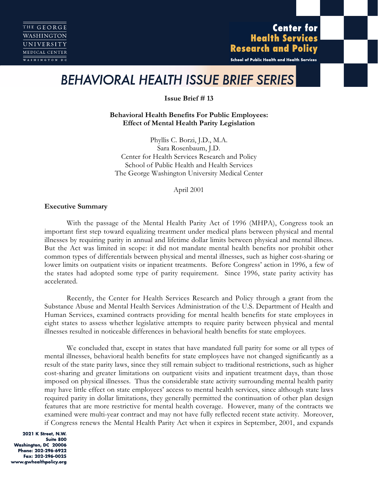**Center for Health Services Research and Policy** 

School of Public Health and Health Services

# *BEHAVIORAL HEALTH ISSUE BRIEF SERIES*

**Issue British # 13** 

**Behavioral Health Benefits For Public Employees: Effect of Mental Health Parity Legislation**

Phyllis C. Borzi, J.D., M.A. Sara Rosenbaum, J.D. Center for Health Services Research and Policy School of Public Health and Health Services The George Washington University Medical Center

April 2001

## **Executive Summary**

With the passage of the Mental Health Parity Act of 1996 (MHPA), Congress took an important first step toward equalizing treatment under medical plans between physical and mental illnesses by requiring parity in annual and lifetime dollar limits between physical and mental illness. But the Act was limited in scope: it did not mandate mental health benefits nor prohibit other common types of differentials between physical and mental illnesses, such as higher cost-sharing or lower limits on outpatient visits or inpatient treatments. Before Congress' action in 1996, a few of the states had adopted some type of parity requirement. Since 1996, state parity activity has accelerated.

Recently, the Center for Health Services Research and Policy through a grant from the Substance Abuse and Mental Health Services Administration of the U.S. Department of Health and Human Services, examined contracts providing for mental health benefits for state employees in eight states to assess whether legislative attempts to require parity between physical and mental illnesses resulted in noticeable differences in behavioral health benefits for state employees.

We concluded that, except in states that have mandated full parity for some or all types of mental illnesses, behavioral health benefits for state employees have not changed significantly as a result of the state parity laws, since they still remain subject to traditional restrictions, such as higher cost-sharing and greater limitations on outpatient visits and inpatient treatment days, than those imposed on physical illnesses. Thus the considerable state activity surrounding mental health parity may have little effect on state employees' access to mental health services, since although state laws required parity in dollar limitations, they generally permitted the continuation of other plan design features that are more restrictive for mental health coverage. However, many of the contracts we examined were multi-year contract and may not have fully reflected recent state activity. Moreover, if Congress renews the Mental Health Parity Act when it expires in September, 2001, and expands

2021 K Street, N.W. Suite 800 Washington, DC 20006 Phone: 202-296-6922 Fax: 202-296-0025 www.gwhealthpolicy.org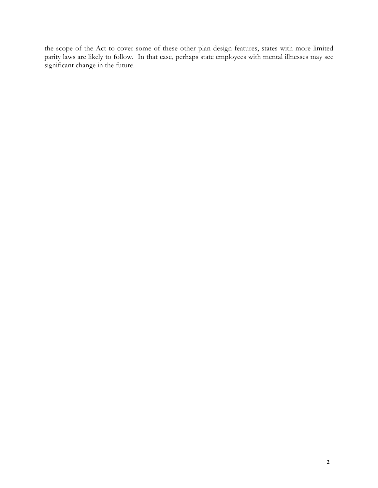the scope of the Act to cover some of these other plan design features, states with more limited parity laws are likely to follow. In that case, perhaps state employees with mental illnesses may see significant change in the future.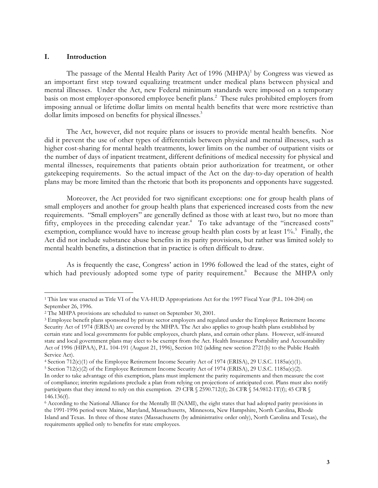#### **I. Introduction**

 $\overline{a}$ 

The passage of the Mental Health Parity Act of 1996  $(MHPA)^1$  by Congress was viewed as an important first step toward equalizing treatment under medical plans between physical and mental illnesses. Under the Act, new Federal minimum standards were imposed on a temporary basis on most employer-sponsored employee benefit plans.<sup>2</sup> These rules prohibited employers from imposing annual or lifetime dollar limits on mental health benefits that were more restrictive than dollar limits imposed on benefits for physical illnesses.<sup>3</sup>

The Act, however, did not require plans or issuers to provide mental health benefits. Nor did it prevent the use of other types of differentials between physical and mental illnesses, such as higher cost-sharing for mental health treatments, lower limits on the number of outpatient visits or the number of days of inpatient treatment, different definitions of medical necessity for physical and mental illnesses, requirements that patients obtain prior authorization for treatment, or other gatekeeping requirements. So the actual impact of the Act on the day-to-day operation of health plans may be more limited than the rhetoric that both its proponents and opponents have suggested.

Moreover, the Act provided for two significant exceptions: one for group health plans of small employers and another for group health plans that experienced increased costs from the new requirements. "Small employers" are generally defined as those with at least two, but no more than fifty, employees in the preceding calendar year.<sup>4</sup> To take advantage of the "increased costs" exemption, compliance would have to increase group health plan costs by at least  $1\%$ . Finally, the Act did not include substance abuse benefits in its parity provisions, but rather was limited solely to mental health benefits, a distinction that in practice is often difficult to draw.

As is frequently the case, Congress' action in 1996 followed the lead of the states, eight of which had previously adopted some type of parity requirement.<sup>6</sup> Because the MHPA only

<sup>&</sup>lt;sup>1</sup> This law was enacted as Title VI of the VA-HUD Appropriations Act for the 1997 Fiscal Year (P.L. 104-204) on September 26, 1996.

<sup>2</sup> The MHPA provisions are scheduled to sunset on September 30, 2001.

<sup>&</sup>lt;sup>3</sup> Employee benefit plans sponsored by private sector employers and regulated under the Employee Retirement Income Security Act of 1974 (ERISA) are covered by the MHPA. The Act also applies to group health plans established by certain state and local governments for public employees, church plans, and certain other plans. However, self-insured state and local government plans may elect to be exempt from the Act. Health Insurance Portability and Accountability Act of 1996 (HIPAA), P.L. 104-191 (August 21, 1996), Section 102 (adding new section 2721(b) to the Public Health Service Act).

<sup>4</sup> Section 712(c)(1) of the Employee Retirement Income Security Act of 1974 (ERISA), 29 U.S.C. 1185a(c)(1).

<sup>5</sup> Section 712(c)(2) of the Employee Retirement Income Security Act of 1974 (ERISA), 29 U.S.C. 1185a(c)(2).

In order to take advantage of this exemption, plans must implement the parity requirements and then measure the cost of compliance; interim regulations preclude a plan from relying on projections of anticipated cost. Plans must also notify participants that they intend to rely on this exemption. 29 CFR § 2590.712(f); 26 CFR § 54.9812-1T(f); 45 CFR § 146.136(f).

<sup>6</sup> According to the National Alliance for the Mentally Ill (NAMI), the eight states that had adopted parity provisions in the 1991-1996 period were Maine, Maryland, Massachusetts, Minnesota, New Hampshire, North Carolina, Rhode Island and Texas. In three of those states (Massachusetts (by administrative order only), North Carolina and Texas), the requirements applied only to benefits for state employees.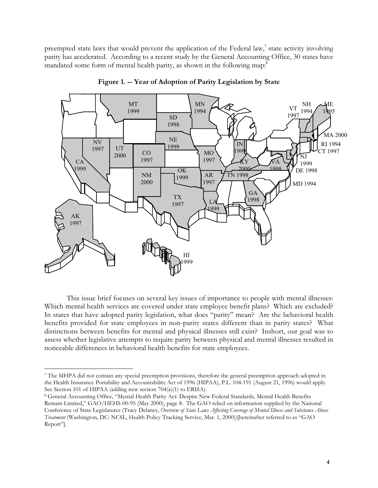preempted state laws that would prevent the application of the Federal law, $\frac{7}{1}$  state activity involving parity has accelerated. According to a recent study by the General Accounting Office, 30 states have mandated some form of mental health parity, as shown in the following map:<sup>8</sup>



**Figure 1. -- Year of Adoption of Parity Legislation by State**

This issue brief focuses on several key issues of importance to people with mental illnesses: Which mental health services are covered under state employee benefit plans? Which are excluded? In states that have adopted parity legislation, what does "parity" mean? Are the behavioral health benefits provided for state employees in non-parity states different than in parity states? What distinctions between benefits for mental and physical illnesses still exist? Inshort, our goal was to assess whether legislative attempts to require parity between physical and mental illnesses resulted in noticeable differences in behavioral health benefits for state employees.

<sup>7</sup> The MHPA did not contain any special preemption provisions, therefore the general preemption approach adopted in the Health Insurance Portability and Accountability Act of 1996 (HIPAA), P.L. 104-191 (August 21, 1996) would apply. See Section 101 of HIPAA (adding new section 704(a)(1) to ERISA).

<sup>8</sup> General Accounting Office, "Mental Health Parity Act: Despite New Federal Standards, Mental Health Benefits Remain Limited," GAO/HEHS-00-95 (May 2000), page 8. The GAO relied on information supplied by the National Conference of State Legislatures (Tracy Delaney, *Overview of State Laws Affecting Coverage of Mental Illness and Substance Abuse Treatment* (Washington, DC: NCSL, Health Policy Tracking Service, Mar. 1, 2000))[hereinafter referred to as "GAO Report"].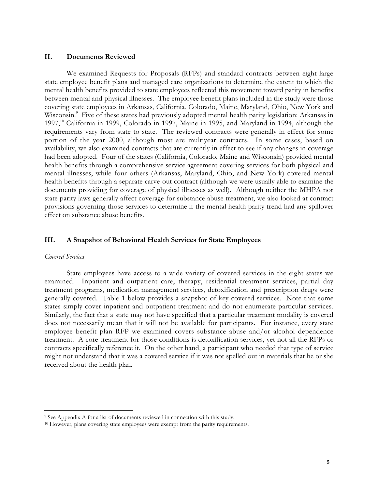### **II. Documents Reviewed**

We examined Requests for Proposals (RFPs) and standard contracts between eight large state employee benefit plans and managed care organizations to determine the extent to which the mental health benefits provided to state employees reflected this movement toward parity in benefits between mental and physical illnesses. The employee benefit plans included in the study were those covering state employees in Arkansas, California, Colorado, Maine, Maryland, Ohio, New York and Wisconsin.<sup>9</sup> Five of these states had previously adopted mental health parity legislation: Arkansas in 1997,<sup>10</sup> California in 1999, Colorado in 1997, Maine in 1995, and Maryland in 1994, although the requirements vary from state to state. The reviewed contracts were generally in effect for some portion of the year 2000, although most are multiyear contracts. In some cases, based on availability, we also examined contracts that are currently in effect to see if any changes in coverage had been adopted. Four of the states (California, Colorado, Maine and Wisconsin) provided mental health benefits through a comprehensive service agreement covering services for both physical and mental illnesses, while four others (Arkansas, Maryland, Ohio, and New York) covered mental health benefits through a separate carve-out contract (although we were usually able to examine the documents providing for coverage of physical illnesses as well). Although neither the MHPA nor state parity laws generally affect coverage for substance abuse treatment, we also looked at contract provisions governing those services to determine if the mental health parity trend had any spillover effect on substance abuse benefits.

## **III. A Snapshot of Behavioral Health Services for State Employees**

#### *Covered Services*

 $\overline{a}$ 

State employees have access to a wide variety of covered services in the eight states we examined. Inpatient and outpatient care, therapy, residential treatment services, partial day treatment programs, medication management services, detoxification and prescription drugs were generally covered. Table 1 below provides a snapshot of key covered services. Note that some states simply cover inpatient and outpatient treatment and do not enumerate particular services. Similarly, the fact that a state may not have specified that a particular treatment modality is covered does not necessarily mean that it will not be available for participants. For instance, every state employee benefit plan RFP we examined covers substance abuse and/or alcohol dependence treatment. A core treatment for those conditions is detoxification services, yet not all the RFPs or contracts specifically reference it. On the other hand, a participant who needed that type of service might not understand that it was a covered service if it was not spelled out in materials that he or she received about the health plan.

<sup>&</sup>lt;sup>9</sup> See Appendix A for a list of documents reviewed in connection with this study.

<sup>&</sup>lt;sup>10</sup> However, plans covering state employees were exempt from the parity requirements.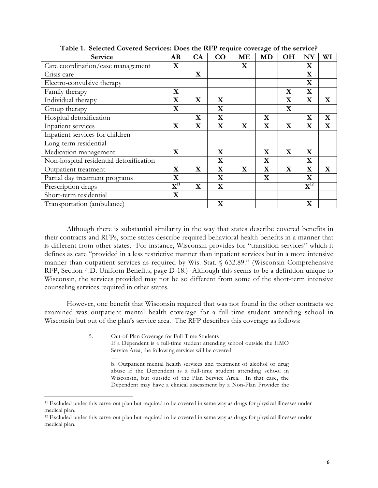| Service                                 | AR                                  | CA          | CO          | ME          | <b>MD</b>   | <b>OH</b>   | NY                           | WI          |
|-----------------------------------------|-------------------------------------|-------------|-------------|-------------|-------------|-------------|------------------------------|-------------|
| Care coordination/case management       | $\mathbf X$                         |             |             | $\mathbf X$ |             |             | $\mathbf X$                  |             |
| Crisis care                             |                                     | $\mathbf X$ |             |             |             |             | $\mathbf X$                  |             |
| Electro-convulsive therapy              |                                     |             |             |             |             |             | $\mathbf X$                  |             |
| Family therapy                          | $\mathbf X$                         |             |             |             |             | $\mathbf X$ | $\mathbf X$                  |             |
| Individual therapy                      | $\mathbf X$                         | $\mathbf X$ | $\mathbf X$ |             |             | $\mathbf X$ | $\mathbf X$                  | $\mathbf X$ |
| Group therapy                           | $\mathbf X$                         |             | X           |             |             | $\mathbf X$ |                              |             |
| Hospital detoxification                 |                                     | $\mathbf X$ | $\mathbf X$ |             | $\mathbf X$ |             | $\mathbf X$                  | $\mathbf X$ |
| Inpatient services                      | $\mathbf X$                         | $\mathbf X$ | $\mathbf X$ | $\mathbf X$ | $\mathbf X$ | $\mathbf X$ | $\mathbf X$                  | $\mathbf X$ |
| Inpatient services for children         |                                     |             |             |             |             |             |                              |             |
| Long-term residential                   |                                     |             |             |             |             |             |                              |             |
| Medication management                   | $\mathbf X$                         |             | $\mathbf X$ |             | $\mathbf X$ | $\mathbf X$ | $\mathbf X$                  |             |
| Non-hospital residential detoxification |                                     |             | $\mathbf X$ |             | $\mathbf X$ |             | $\mathbf X$                  |             |
| Outpatient treatment                    | $\mathbf X$                         | $\mathbf X$ | X           | $\mathbf X$ | $\mathbf X$ | $\mathbf X$ | $\mathbf X$                  | $\mathbf X$ |
| Partial day treatment programs          | $\mathbf X$                         |             | $\mathbf X$ |             | $\mathbf X$ |             | $\mathbf X$                  |             |
| Prescription drugs                      | $\overline{\mathbf{X}^{\text{11}}}$ | $\mathbf X$ | $\mathbf X$ |             |             |             | $\overline{\mathbf{X}^{12}}$ |             |
| Short-term residential                  | $\mathbf x$                         |             |             |             |             |             |                              |             |
| Transportation (ambulance)              |                                     |             | $\mathbf X$ |             |             |             | $\mathbf X$                  |             |

**Table 1. Selected Covered Services: Does the RFP require coverage of the service?**

Although there is substantial similarity in the way that states describe covered benefits in their contracts and RFPs, some states describe required behavioral health benefits in a manner that is different from other states. For instance, Wisconsin provides for "transition services" which it defines as care "provided in a less restrictive manner than inpatient services but in a more intensive manner than outpatient services as required by Wis. Stat. § 632.89." (Wisconsin Comprehensive RFP, Section 4.D. Uniform Benefits, page D-18.) Although this seems to be a definition unique to Wisconsin, the services provided may not be so different from some of the short-term intensive counseling services required in other states.

However, one benefit that Wisconsin required that was not found in the other contracts we examined was outpatient mental health coverage for a full-time student attending school in Wisconsin but out of the plan's service area. The RFP describes this coverage as follows:

> 5. Out-of-Plan Coverage for Full-Time Students If a Dependent is a full-time student attending school outside the HMO Service Area, the following services will be covered: … b. Outpatient mental health services and treatment of alcohol or drug abuse if the Dependent is a full-time student attending school in

Wisconsin, but outside of the Plan Service Area. In that case, the Dependent may have a clinical assessment by a Non-Plan Provider the

l.

<sup>&</sup>lt;sup>11</sup> Excluded under this carve-out plan but required to be covered in same way as drugs for physical illnesses under medical plan.

<sup>&</sup>lt;sup>12</sup> Excluded under this carve-out plan but required to be covered in same way as drugs for physical illnesses under medical plan.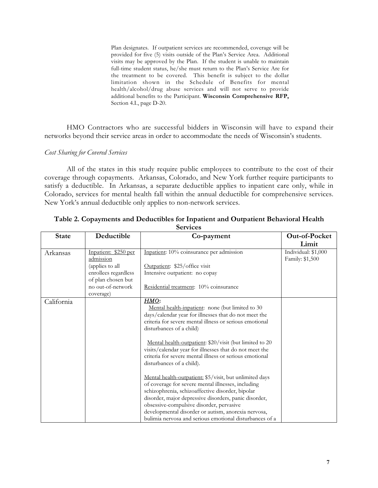Plan designates. If outpatient services are recommended, coverage will be provided for five (5) visits outside of the Plan's Service Area. Additional visits may be approved by the Plan. If the student is unable to maintain full-time student status, he/she must return to the Plan's Service Are for the treatment to be covered. This benefit is subject to the dollar limitation shown in the Schedule of Benefits for mental health/alcohol/drug abuse services and will not serve to provide additional benefits to the Participant. **Wisconsin Comprehensive RFP,** Section 4.I., page D-20.

HMO Contractors who are successful bidders in Wisconsin will have to expand their networks beyond their service areas in order to accommodate the needs of Wisconsin's students.

## *Cost Sharing for Covered Services*

All of the states in this study require public employees to contribute to the cost of their coverage through copayments. Arkansas, Colorado, and New York further require participants to satisfy a deductible. In Arkansas, a separate deductible applies to inpatient care only, while in Colorado, services for mental health fall within the annual deductible for comprehensive services. New York's annual deductible only applies to non-network services.

|              |                      | oclinces                                                                                                           |                     |
|--------------|----------------------|--------------------------------------------------------------------------------------------------------------------|---------------------|
| <b>State</b> | Deductible           | Co-payment                                                                                                         | Out-of-Pocket       |
|              |                      |                                                                                                                    | Limit               |
| Arkansas     | Inpatient: \$250 per | Inpatient: 10% coinsurance per admission                                                                           | Individual: \$1,000 |
|              | admission            |                                                                                                                    | Family: \$1,500     |
|              | (applies to all      | Outpatient: \$25/office visit                                                                                      |                     |
|              | enrollees regardless | Intensive outpatient: no copay                                                                                     |                     |
|              | of plan chosen but   |                                                                                                                    |                     |
|              | no out-of-network    | Residential treatment: 10% coinsurance                                                                             |                     |
|              | coverage)            |                                                                                                                    |                     |
| California   |                      | HMO:                                                                                                               |                     |
|              |                      | Mental health-inpatient: none (but limited to 30                                                                   |                     |
|              |                      | days/calendar year for illnesses that do not meet the                                                              |                     |
|              |                      | criteria for severe mental illness or serious emotional                                                            |                     |
|              |                      | disturbances of a child)                                                                                           |                     |
|              |                      |                                                                                                                    |                     |
|              |                      | Mental health-outpatient: \$20/visit (but limited to 20                                                            |                     |
|              |                      | visits/calendar year for illnesses that do not meet the<br>criteria for severe mental illness or serious emotional |                     |
|              |                      |                                                                                                                    |                     |
|              |                      | disturbances of a child).                                                                                          |                     |
|              |                      | Mental health-outpatient: \$5/visit, but unlimited days                                                            |                     |
|              |                      | of coverage for severe mental illnesses, including                                                                 |                     |
|              |                      | schizophrenia, schizoaffective disorder, bipolar                                                                   |                     |
|              |                      | disorder, major depressive disorders, panic disorder,                                                              |                     |
|              |                      | obsessive-compulsive disorder, pervasive                                                                           |                     |
|              |                      | developmental disorder or autism, anorexia nervosa,                                                                |                     |
|              |                      | bulimia nervosa and serious emotional disturbances of a                                                            |                     |

**Table 2. Copayments and Deductibles for Inpatient and Outpatient Behavioral Health Services**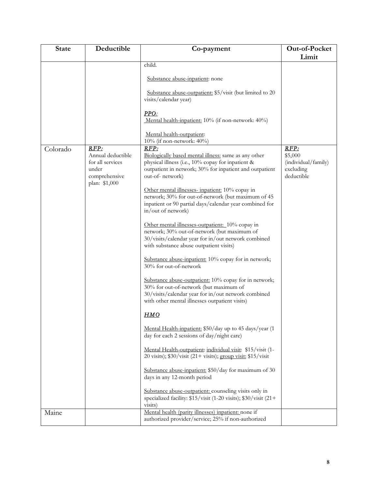| <b>State</b> | Deductible                                                                               | Co-payment                                                                                                                                                                                                                                                                                                                                                                                 | Out-of-Pocket                                                     |
|--------------|------------------------------------------------------------------------------------------|--------------------------------------------------------------------------------------------------------------------------------------------------------------------------------------------------------------------------------------------------------------------------------------------------------------------------------------------------------------------------------------------|-------------------------------------------------------------------|
|              |                                                                                          | child.                                                                                                                                                                                                                                                                                                                                                                                     | Limit                                                             |
|              |                                                                                          |                                                                                                                                                                                                                                                                                                                                                                                            |                                                                   |
|              |                                                                                          | Substance abuse-inpatient: none                                                                                                                                                                                                                                                                                                                                                            |                                                                   |
|              |                                                                                          | Substance abuse-outpatient: \$5/visit (but limited to 20<br>visits/calendar year)                                                                                                                                                                                                                                                                                                          |                                                                   |
|              |                                                                                          | PPO:<br>Mental health-inpatient: 10% (if non-network: 40%)                                                                                                                                                                                                                                                                                                                                 |                                                                   |
|              |                                                                                          | Mental health-outpatient:<br>10% (if non-network: $40\%$ )                                                                                                                                                                                                                                                                                                                                 |                                                                   |
| Colorado     | RFP:<br>Annual deductible<br>for all services<br>under<br>comprehensive<br>plan: \$1,000 | RFP:<br>Biologically based mental illness: same as any other<br>physical illness (i.e., 10% copay for inpatient &<br>outpatient in network; 30% for inpatient and outpatient<br>out-of- network)<br>Other mental illnesses- inpatient: 10% copay in<br>network; 30% for out-of-network (but maximum of 45<br>inpatient or 90 partial days/calendar year combined for<br>in/out of network) | RFP:<br>\$5,000<br>(individual/family)<br>excluding<br>deductible |
|              |                                                                                          | Other mental illnesses-outpatient: 10% copay in<br>network; 30% out-of-network (but maximum of<br>30/visits/calendar year for in/out network combined<br>with substance abuse outpatient visits)                                                                                                                                                                                           |                                                                   |
|              |                                                                                          | Substance abuse-inpatient: 10% copay for in network;<br>30% for out-of-network                                                                                                                                                                                                                                                                                                             |                                                                   |
|              |                                                                                          | Substance abuse-outpatient: 10% copay for in network;<br>30% for out-of-network (but maximum of<br>30/visits/calendar year for in/out network combined<br>with other mental illnesses outpatient visits)                                                                                                                                                                                   |                                                                   |
|              |                                                                                          | <u>HMO</u>                                                                                                                                                                                                                                                                                                                                                                                 |                                                                   |
|              |                                                                                          | Mental Health-inpatient: \$50/day up to 45 days/year (1<br>day for each 2 sessions of day/night care)                                                                                                                                                                                                                                                                                      |                                                                   |
|              |                                                                                          | Mental Health-outpatient: individual visit: \$15/visit (1-<br>20 visits); \$30/visit (21+ visits); group visit: \$15/visit                                                                                                                                                                                                                                                                 |                                                                   |
|              |                                                                                          | Substance abuse-inpatient: \$50/day for maximum of 30<br>days in any 12-month period                                                                                                                                                                                                                                                                                                       |                                                                   |
|              |                                                                                          | Substance abuse-outpatient: counseling visits only in<br>specialized facility: \$15/visit (1-20 visits); \$30/visit (21+<br>visits)                                                                                                                                                                                                                                                        |                                                                   |
| Maine        |                                                                                          | Mental health (parity illnesses) inpatient: none if<br>authorized provider/service; 25% if non-authorized                                                                                                                                                                                                                                                                                  |                                                                   |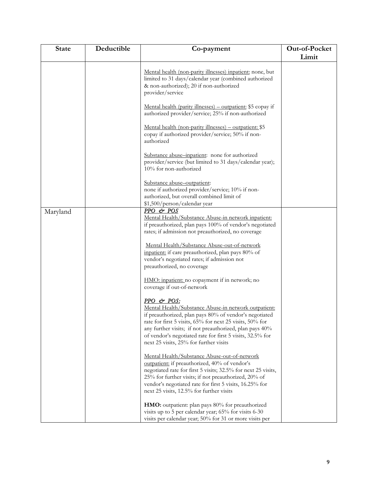| <b>State</b> | Deductible | Co-payment                                                                                                                                                                                                                                                                                                                                                 | Out-of-Pocket |
|--------------|------------|------------------------------------------------------------------------------------------------------------------------------------------------------------------------------------------------------------------------------------------------------------------------------------------------------------------------------------------------------------|---------------|
|              |            |                                                                                                                                                                                                                                                                                                                                                            | Limit         |
|              |            | Mental health (non-parity illnesses) inpatient: none, but<br>limited to 31 days/calendar year (combined authorized<br>& non-authorized); 20 if non-authorized<br>provider/service                                                                                                                                                                          |               |
|              |            | Mental health (parity illnesses) – outpatient: \$5 copay if<br>authorized provider/service; 25% if non-authorized                                                                                                                                                                                                                                          |               |
|              |            | Mental health (non-parity illnesses) – outpatient: \$5<br>copay if authorized provider/service; 50% if non-<br>authorized                                                                                                                                                                                                                                  |               |
|              |            | Substance abuse-inpatient: none for authorized<br>provider/service (but limited to 31 days/calendar year);<br>10% for non-authorized                                                                                                                                                                                                                       |               |
|              |            | Substance abuse-outpatient:<br>none if authorized provider/service; 10% if non-<br>authorized, but overall combined limit of<br>\$1,500/person/calendar year                                                                                                                                                                                               |               |
| Maryland     |            | PPO & POS                                                                                                                                                                                                                                                                                                                                                  |               |
|              |            | Mental Health/Substance Abuse-in network inpatient:<br>if preauthorized, plan pays 100% of vendor's negotiated                                                                                                                                                                                                                                             |               |
|              |            | rates; if admission not preauthorized, no coverage                                                                                                                                                                                                                                                                                                         |               |
|              |            | Mental Health/Substance Abuse-out-of-network<br>inpatient: if care preauthorized, plan pays 80% of<br>vendor's negotiated rates; if admission not<br>preauthorized, no coverage                                                                                                                                                                            |               |
|              |            | HMO: inpatient: no copayment if in network; no<br>coverage if out-of-network                                                                                                                                                                                                                                                                               |               |
|              |            | PPO & POS:<br>Mental Health/Substance Abuse-in network outpatient:<br>if preauthorized, plan pays 80% of vendor's negotiated<br>rate for first 5 visits, 65% for next 25 visits, 50% for<br>any further visits; if not preauthorized, plan pays 40%<br>of vendor's negotiated rate for first 5 visits, 32.5% for<br>next 25 visits, 25% for further visits |               |
|              |            | Mental Health/Substance Abuse-out-of-network<br>outpatient: if preauthorized, 40% of vendor's<br>negotiated rate for first 5 visits; 32.5% for next 25 visits,<br>25% for further visits; if not preauthorized, 20% of<br>vendor's negotiated rate for first 5 visits, 16.25% for<br>next 25 visits, 12.5% for further visits                              |               |
|              |            | HMO: outpatient: plan pays 80% for preauthorized<br>visits up to 5 per calendar year; 65% for visits 6-30<br>visits per calendar year; 50% for 31 or more visits per                                                                                                                                                                                       |               |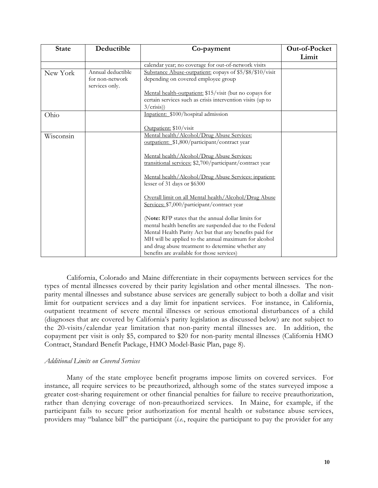| <b>State</b> | Deductible                                             | Co-payment                                                                                                                                                                                                                                                                                                                                                                                                                                                                                                                                                                                                                                                                                                                                    | Out-of-Pocket |
|--------------|--------------------------------------------------------|-----------------------------------------------------------------------------------------------------------------------------------------------------------------------------------------------------------------------------------------------------------------------------------------------------------------------------------------------------------------------------------------------------------------------------------------------------------------------------------------------------------------------------------------------------------------------------------------------------------------------------------------------------------------------------------------------------------------------------------------------|---------------|
|              |                                                        |                                                                                                                                                                                                                                                                                                                                                                                                                                                                                                                                                                                                                                                                                                                                               | Limit         |
|              |                                                        | calendar year; no coverage for out-of-network visits                                                                                                                                                                                                                                                                                                                                                                                                                                                                                                                                                                                                                                                                                          |               |
| New York     | Annual deductible<br>for non-network<br>services only. | Substance Abuse-outpatient: copays of \$5/\$8/\$10/visit<br>depending on covered employee group                                                                                                                                                                                                                                                                                                                                                                                                                                                                                                                                                                                                                                               |               |
|              |                                                        | Mental health-outpatient: \$15/visit (but no copays for<br>certain services such as crisis intervention visits (up to<br>3/crisis)                                                                                                                                                                                                                                                                                                                                                                                                                                                                                                                                                                                                            |               |
| Ohio         |                                                        | Inpatient: \$100/hospital admission<br>Outpatient: \$10/visit                                                                                                                                                                                                                                                                                                                                                                                                                                                                                                                                                                                                                                                                                 |               |
| Wisconsin    |                                                        | Mental health/Alcohol/Drug Abuse Services:<br>outpatient: \$1,800/participant/contract year<br>Mental health/Alcohol/Drug Abuse Services:<br>transitional services: \$2,700/participant/contract year<br>Mental health/Alcohol/Drug Abuse Services: inpatient:<br>lesser of 31 days or \$6300<br>Overall limit on all Mental health/Alcohol/Drug Abuse<br>Services: \$7,000/participant/contract year<br>(Note: RFP states that the annual dollar limits for<br>mental health benefits are suspended due to the Federal<br>Mental Health Parity Act but that any benefits paid for<br>MH will be applied to the annual maximum for alcohol<br>and drug abuse treatment to determine whether any<br>benefits are available for those services) |               |

California, Colorado and Maine differentiate in their copayments between services for the types of mental illnesses covered by their parity legislation and other mental illnesses. The nonparity mental illnesses and substance abuse services are generally subject to both a dollar and visit limit for outpatient services and a day limit for inpatient services. For instance, in California, outpatient treatment of severe mental illnesses or serious emotional disturbances of a child (diagnoses that are covered by California's parity legislation as discussed below) are not subject to the 20-visits/calendar year limitation that non-parity mental illnesses are. In addition, the copayment per visit is only \$5, compared to \$20 for non-parity mental illnesses (California HMO Contract, Standard Benefit Package, HMO Model-Basic Plan, page 8).

## *Additional Limits on Covered Services*

Many of the state employee benefit programs impose limits on covered services. For instance, all require services to be preauthorized, although some of the states surveyed impose a greater cost-sharing requirement or other financial penalties for failure to receive preauthorization, rather than denying coverage of non-preauthorized services. In Maine, for example, if the participant fails to secure prior authorization for mental health or substance abuse services, providers may "balance bill" the participant (*i.e.*, require the participant to pay the provider for any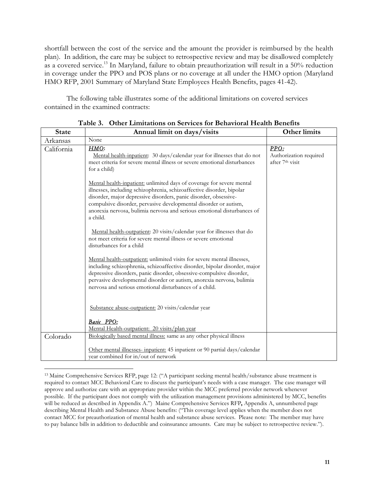shortfall between the cost of the service and the amount the provider is reimbursed by the health plan). In addition, the care may be subject to retrospective review and may be disallowed completely as a covered service.<sup>13</sup> In Maryland, failure to obtain preauthorization will result in a 50% reduction in coverage under the PPO and POS plans or no coverage at all under the HMO option (Maryland HMO RFP, 2001 Summary of Maryland State Employees Health Benefits, pages 41-42).

The following table illustrates some of the additional limitations on covered services contained in the examined contracts:

| <b>State</b> | Annual limit on days/visits                                                                                                                                                                                                                                                                                                                                                   | <b>Other limits</b>                               |
|--------------|-------------------------------------------------------------------------------------------------------------------------------------------------------------------------------------------------------------------------------------------------------------------------------------------------------------------------------------------------------------------------------|---------------------------------------------------|
| Arkansas     | None                                                                                                                                                                                                                                                                                                                                                                          |                                                   |
| California   | HMO:<br>Mental health-inpatient: 30 days/calendar year for illnesses that do not<br>meet criteria for severe mental illness or severe emotional disturbances<br>for a child)                                                                                                                                                                                                  | PPO:<br>Authorization required<br>after 7th visit |
|              | Mental health-inpatient: unlimited days of coverage for severe mental<br>illnesses, including schizophrenia, schizoaffective disorder, bipolar<br>disorder, major depressive disorders, panic disorder, obsessive-<br>compulsive disorder, pervasive developmental disorder or autism,<br>anorexia nervosa, bulimia nervosa and serious emotional disturbances of<br>a child. |                                                   |
|              | Mental health-outpatient: 20 visits/calendar year for illnesses that do<br>not meet criteria for severe mental illness or severe emotional<br>disturbances for a child                                                                                                                                                                                                        |                                                   |
|              | Mental health-outpatient: unlimited visits for severe mental illnesses,<br>including schizophrenia, schizoaffective disorder, bipolar disorder, major<br>depressive disorders, panic disorder, obsessive-compulsive disorder,<br>pervasive developmental disorder or autism, anorexia nervosa, bulimia<br>nervosa and serious emotional disturbances of a child.              |                                                   |
|              | Substance abuse-outpatient: 20 visits/calendar year                                                                                                                                                                                                                                                                                                                           |                                                   |
|              | Basic PPO:<br>Mental Health-outpatient: 20 visits/plan year                                                                                                                                                                                                                                                                                                                   |                                                   |
| Colorado     | Biologically based mental illness: same as any other physical illness                                                                                                                                                                                                                                                                                                         |                                                   |
|              | Other mental illnesses- inpatient: 45 inpatient or 90 partial days/calendar<br>year combined for in/out of network                                                                                                                                                                                                                                                            |                                                   |

**Table 3. Other Limitations on Services for Behavioral Health Benefits**

<sup>13</sup> Maine Comprehensive Services RFP, page 12: ("A participant seeking mental health/substance abuse treatment is required to contact MCC Behavioral Care to discuss the participant's needs with a case manager. The case manager will approve and authorize care with an appropriate provider within the MCC preferred provider network whenever possible. If the participant does not comply with the utilization management provisions administered by MCC, benefits will be reduced as described in Appendix A.") Maine Comprehensive Services RFP**,** Appendix A, unnumbered page describing Mental Health and Substance Abuse benefits: ("This coverage level applies when the member does not contact MCC for preauthorization of mental health and substance abuse services. Please note: The member may have to pay balance bills in addition to deductible and coinsurance amounts. Care may be subject to retrospective review.").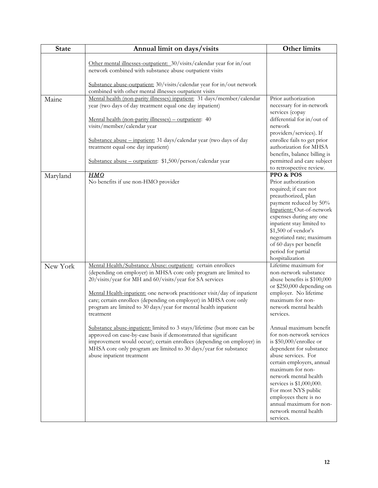| <b>State</b> | Annual limit on days/visits                                                                                                                                                                                                                                                                                                                                                                                                   | <b>Other limits</b>                                                                                                                                                                                                                                                                                                                                    |
|--------------|-------------------------------------------------------------------------------------------------------------------------------------------------------------------------------------------------------------------------------------------------------------------------------------------------------------------------------------------------------------------------------------------------------------------------------|--------------------------------------------------------------------------------------------------------------------------------------------------------------------------------------------------------------------------------------------------------------------------------------------------------------------------------------------------------|
|              | Other mental illnesses-outpatient: 30/visits/calendar year for in/out<br>network combined with substance abuse outpatient visits                                                                                                                                                                                                                                                                                              |                                                                                                                                                                                                                                                                                                                                                        |
|              | Substance abuse-outpatient: 30/visits/calendar year for in/out network<br>combined with other mental illnesses outpatient visits                                                                                                                                                                                                                                                                                              |                                                                                                                                                                                                                                                                                                                                                        |
| Maine        | Mental health (non-parity illnesses) inpatient: 31 days/member/calendar<br>year (two days of day treatment equal one day inpatient)                                                                                                                                                                                                                                                                                           | Prior authorization<br>necessary for in-network<br>services (copay                                                                                                                                                                                                                                                                                     |
|              | Mental health (non-parity illnesses) – outpatient: 40<br>visits/member/calendar year                                                                                                                                                                                                                                                                                                                                          | differential for in/out of<br>network                                                                                                                                                                                                                                                                                                                  |
|              | Substance abuse - inpatient: 31 days/calendar year (two days of day<br>treatment equal one day inpatient)                                                                                                                                                                                                                                                                                                                     | providers/services). If<br>enrollee fails to get prior<br>authorization for MHSA                                                                                                                                                                                                                                                                       |
|              | Substance abuse - outpatient: \$1,500/person/calendar year                                                                                                                                                                                                                                                                                                                                                                    | benefits, balance billing is<br>permitted and care subject<br>to retrospective review.                                                                                                                                                                                                                                                                 |
| Maryland     | <b>HMO</b><br>No benefits if use non-HMO provider                                                                                                                                                                                                                                                                                                                                                                             | PPO & POS<br>Prior authorization<br>required; if care not<br>preauthorized, plan<br>payment reduced by 50%<br>Inpatient: Out-of-network<br>expenses during any one<br>inpatient stay limited to<br>\$1,500 of vendor's<br>negotiated rate; maximum<br>of 60 days per benefit<br>period for partial<br>hospitalization                                  |
| New York     | Mental Health/Substance Abuse: outpatient: certain enrollees<br>(depending on employer) in MHSA core only program are limited to<br>20/visits/year for MH and 60/visits/year for SA services<br>Mental Health-inpatient: one network practitioner visit/day of inpatient<br>care; certain enrollees (depending on employer) in MHSA core only<br>program are limited to 30 days/year for mental health inpatient<br>treatment | Lifetime maximum for<br>non-network substance<br>abuse benefits is \$100,000<br>or \$250,000 depending on<br>employer. No lifetime<br>maximum for non-<br>network mental health<br>services.                                                                                                                                                           |
|              | Substance abuse-inpatient: limited to 3 stays/lifetime (but more can be<br>approved on case-by-case basis if demonstrated that significant<br>improvement would occur); certain enrollees (depending on employer) in<br>MHSA core only program are limited to 30 days/year for substance<br>abuse inpatient treatment                                                                                                         | Annual maximum benefit<br>for non-network services<br>is \$50,000/enrollee or<br>dependent for substance<br>abuse services. For<br>certain employers, annual<br>maximum for non-<br>network mental health<br>services is \$1,000,000.<br>For most NYS public<br>employees there is no<br>annual maximum for non-<br>network mental health<br>services. |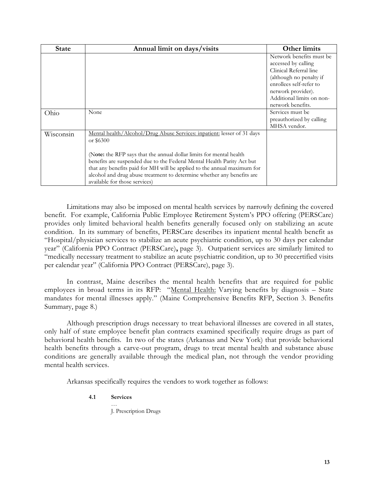| <b>State</b> | Annual limit on days/visits                                                                                                                                                                                                                                                                                                                                                                                                 | <b>Other limits</b>                                                                                                                                                                                     |
|--------------|-----------------------------------------------------------------------------------------------------------------------------------------------------------------------------------------------------------------------------------------------------------------------------------------------------------------------------------------------------------------------------------------------------------------------------|---------------------------------------------------------------------------------------------------------------------------------------------------------------------------------------------------------|
|              |                                                                                                                                                                                                                                                                                                                                                                                                                             | Network benefits must be<br>accessed by calling<br>Clinical Referral line<br>(although no penalty if<br>enrollees self-refer to<br>network provider).<br>Additional limits on non-<br>network benefits. |
| Ohio         | None                                                                                                                                                                                                                                                                                                                                                                                                                        | Services must be<br>preauthorized by calling<br>MHSA vendor.                                                                                                                                            |
| Wisconsin    | Mental health/Alcohol/Drug Abuse Services: inpatient: lesser of 31 days<br>or \$6300<br>(Note: the RFP says that the annual dollar limits for mental health<br>benefits are suspended due to the Federal Mental Health Parity Act but<br>that any benefits paid for MH will be applied to the annual maximum for<br>alcohol and drug abuse treatment to determine whether any benefits are<br>available for those services) |                                                                                                                                                                                                         |

Limitations may also be imposed on mental health services by narrowly defining the covered benefit. For example, California Public Employee Retirement System's PPO offering (PERSCare) provides only limited behavioral health benefits generally focused only on stabilizing an acute condition. In its summary of benefits, PERSCare describes its inpatient mental health benefit as "Hospital/physician services to stabilize an acute psychiatric condition, up to 30 days per calendar year" (California PPO Contract (PERSCare)**,** page 3). Outpatient services are similarly limited to "medically necessary treatment to stabilize an acute psychiatric condition, up to 30 precertified visits per calendar year" (California PPO Contract (PERSCare), page 3).

In contrast, Maine describes the mental health benefits that are required for public employees in broad terms in its RFP: "Mental Health: Varying benefits by diagnosis – State mandates for mental illnesses apply." (Maine Comprehensive Benefits RFP, Section 3. Benefits Summary, page 8.)

Although prescription drugs necessary to treat behavioral illnesses are covered in all states, only half of state employee benefit plan contracts examined specifically require drugs as part of behavioral health benefits. In two of the states (Arkansas and New York) that provide behavioral health benefits through a carve-out program, drugs to treat mental health and substance abuse conditions are generally available through the medical plan, not through the vendor providing mental health services.

Arkansas specifically requires the vendors to work together as follows:

## **4.1 Services**

… J. Prescription Drugs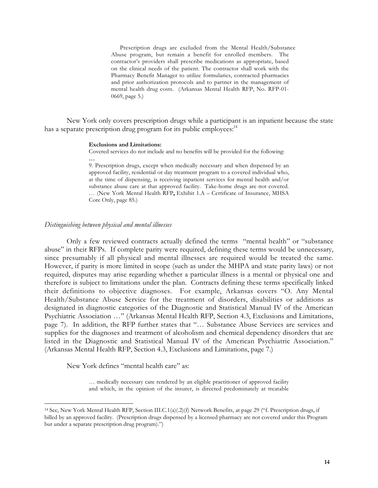Prescription drugs are excluded from the Mental Health/Substance Abuse program, but remain a benefit for enrolled members. The contractor's providers shall prescribe medications as appropriate, based on the clinical needs of the patient. The contractor shall work with the Pharmacy Benefit Manager to utilize formularies, contracted pharmacies and prior authorization protocols and to partner in the management of mental health drug costs. (Arkansas Mental Health RFP, No. RFP-01- 0669, page 5.)

New York only covers prescription drugs while a participant is an inpatient because the state has a separate prescription drug program for its public employees: $14$ 

#### **Exclusions and Limitations:**

Covered services do not include and no benefits will be provided for the following:

**…**

9. Prescription drugs, except when medically necessary and when dispensed by an approved facility, residential or day treatment program to a covered individual who, at the time of dispensing, is receiving inpatient services for mental health and/or substance abuse care at that approved facility. Take-home drugs are not covered. … (New York Mental Health RFP**,** Exhibit 1.A – Certificate of Insurance, MHSA Core Only, page 85.)

#### *Distinguishing between physical and mental illnesses*

Only a few reviewed contracts actually defined the terms "mental health" or "substance abuse" in their RFPs. If complete parity were required, defining these terms would be unnecessary, since presumably if all physical and mental illnesses are required would be treated the same. However, if parity is more limited in scope (such as under the MHPA and state parity laws) or not required, disputes may arise regarding whether a particular illness is a mental or physical one and therefore is subject to limitations under the plan. Contracts defining these terms specifically linked their definitions to objective diagnoses. For example, Arkansas covers "O. Any Mental Health/Substance Abuse Service for the treatment of disorders, disabilities or additions as designated in diagnostic categories of the Diagnostic and Statistical Manual IV of the American Psychiatric Association …" (Arkansas Mental Health RFP, Section 4.3, Exclusions and Limitations, page 7). In addition, the RFP further states that "… Substance Abuse Services are services and supplies for the diagnoses and treatment of alcoholism and chemical dependency disorders that are listed in the Diagnostic and Statistical Manual IV of the American Psychiatric Association." (Arkansas Mental Health RFP, Section 4.3, Exclusions and Limitations, page 7.)

New York defines "mental health care" as:

 $\overline{a}$ 

… medically necessary care rendered by an eligible practitioner of approved facility and which, in the opinion of the insurer, is directed predominately at treatable

<sup>14</sup> See, New York Mental Health RFP, Section III.C.1(a)(.2)(f) Network Benefits, at page 29 ("f. Prescription drugs, if billed by an approved facility. (Prescription drugs dispensed by a licensed pharmacy are not covered under this Program but under a separate prescription drug program).")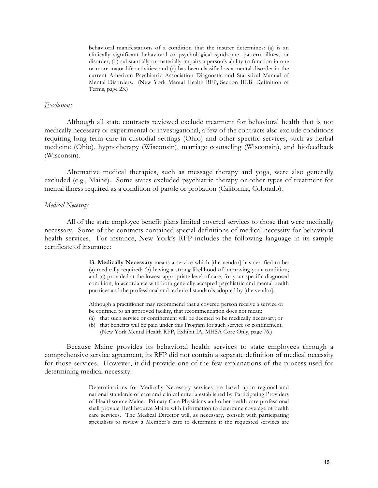behavioral manifestations of a condition that the insurer determines: (a) is an clinically significant behavioral or psychological syndrome, pattern, illness or disorder; (b) substantially or materially impairs a person's ability to function in one or more major life activities; and (c) has been classified as a mental disorder in the current American Psychiatric Association Diagnostic and Statistical Manual of Mental Disorders. (New York Mental Health RFP**,** Section III.B. Definition of Terms, page 23.)

## *Exclusions*

Although all state contracts reviewed exclude treatment for behavioral health that is not medically necessary or experimental or investigational, a few of the contracts also exclude conditions requiring long term care in custodial settings (Ohio) and other specific services, such as herbal medicine (Ohio), hypnotherapy (Wisconsin), marriage counseling (Wisconsin), and biofeedback (Wisconsin).

Alternative medical therapies, such as message therapy and yoga, were also generally excluded (e.g., Maine). Some states excluded psychiatric therapy or other types of treatment for mental illness required as a condition of parole or probation (California, Colorado).

#### *Medical Necessity*

All of the state employee benefit plans limited covered services to those that were medically necessary. Some of the contracts contained special definitions of medical necessity for behavioral health services. For instance, New York's RFP includes the following language in its sample certificate of insurance:

> **13. Medically Necessary** means a service which [the vendor] has certified to be: (a) medically required; (b) having a strong likelihood of improving your condition; and (c) provided at the lowest appropriate level of care, for your specific diagnosed condition, in accordance with both generally accepted psychiatric and mental health practices and the professional and technical standards adopted by [the vendor].

Although a practitioner may recommend that a covered person receive a service or be confined to an approved facility, that recommendation does not mean:

- (a) that such service or confinement will be deemed to be medically necessary; or
- (b) that benefits will be paid under this Program for such service or confinement. (New York Mental Health RFP**,** Exhibit IA, MHSA Core Only, page 76.)

Because Maine provides its behavioral health services to state employees through a comprehensive service agreement, its RFP did not contain a separate definition of medical necessity for those services. However, it did provide one of the few explanations of the process used for determining medical necessity:

> Determinations for Medically Necessary services are based upon regional and national standards of care and clinical criteria established by Participating Providers of Healthsource Maine. Primary Care Physicians and other health care professional shall provide Healthsource Maine with information to determine coverage of health care services. The Medical Director will, as necessary, consult with participating specialists to review a Member's care to determine if the requested services are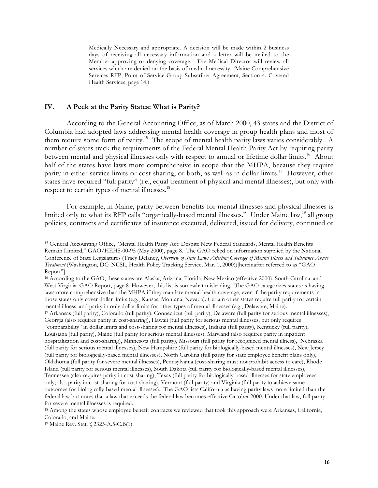Medically Necessary and appropriate. A decision will be made within 2 business days of receiving all necessary information and a letter will be mailed to the Member approving or denying coverage. The Medical Director will review all services which are denied on the basis of medical necessity. (Maine Comprehensive Services RFP, Point of Service Group Subscriber Agreement, Section 4. Covered Health Services, page 14.)

## **IV. A Peek at the Parity States: What is Parity?**

According to the General Accounting Office, as of March 2000, 43 states and the District of Columbia had adopted laws addressing mental health coverage in group health plans and most of them require some form of parity.15 The scope of mental health parity laws varies considerably. A number of states track the requirements of the Federal Mental Health Parity Act by requiring parity between mental and physical illnesses only with respect to annual or lifetime dollar limits.<sup>16</sup> About half of the states have laws more comprehensive in scope that the MHPA, because they require parity in either service limits or cost-sharing, or both, as well as in dollar limits.<sup>17</sup> However, other states have required "full parity" (i.e., equal treatment of physical and mental illnesses), but only with respect to certain types of mental illnesses.<sup>18</sup>

For example, in Maine, parity between benefits for mental illnesses and physical illnesses is limited only to what its RFP calls "organically-based mental illnesses." Under Maine law,<sup>19</sup> all group policies, contracts and certificates of insurance executed, delivered, issued for delivery, continued or

<sup>15</sup> General Accounting Office, "Mental Health Parity Act: Despite New Federal Standards, Mental Health Benefits Remain Limited," GAO/HEHS-00-95 (May 2000), page 8. The GAO relied on information supplied by the National Conference of State Legislatures (Tracy Delaney, *Overview of State Laws Affecting Coverage of Mental Illness and Substance Abuse Treatment* (Washington, DC: NCSL, Health Policy Tracking Service, Mar. 1, 2000))[hereinafter referred to as "GAO Report"].

<sup>16</sup> According to the GAO, these states are Alaska, Arizona, Florida, New Mexico (effective 2000), South Carolina, and West Virginia. GAO Report, page 8. However, this list is somewhat misleading. The GAO categorizes states as having laws more comprehensive than the MHPA if they mandate mental health coverage, even if the parity requirements in those states only cover dollar limits (e.g., Kansas, Montana, Nevada). Certain other states require full parity for certain mental illness, and parity in only dollar limits for other types of mental illnesses (e.g., Delaware, Maine).

<sup>17</sup> Arkansas (full parity), Colorado (full parity), Connecticut (full parity), Delaware (full parity for serious mental illnesses), Georgia (also requires parity in cost-sharing), Hawaii (full parity for serious mental illnesses, but only requires "comparability" in dollar limits and cost-sharing for mental illnesses), Indiana (full parity), Kentucky (full parity), Louisiana (full parity), Maine (full parity for serious mental illnesses), Maryland (also requires parity in inpatient hospitalization and cost-sharing), Minnesota (full parity), Missouri (full parity for recognized mental illness), Nebraska (full parity for serious mental illnesses), New Hampshire (full parity for biologically-based mental illnesses), New Jersey (full parity for biologically-based mental illnesses), North Carolina (full parity for state employee benefit plans only), Oklahoma (full parity for severe mental illnesses), Pennsylvania (cost-sharing must not prohibit access to care), Rhode Island (full parity for serious mental illnesses), South Dakota (full parity for biologically-based mental illnesses), Tennessee (also requires parity in cost-sharing), Texas (full parity for biologically-based illnesses for state employees only; also parity in cost-sharing for cost-sharing), Vermont (full parity) and Virginia (full parity to achieve same outcomes for biologically-based mental illnesses). The GAO lists California as having parity laws more limited than the federal law but notes that a law that exceeds the federal law becomes effective October 2000. Under that law, full parity for severe mental illnesses is required.

<sup>&</sup>lt;sup>18</sup> Among the states whose employee benefit contracts we reviewed that took this approach were Arkansas, California, Colorado, and Maine.

<sup>19</sup> Maine Rev. Stat. § 2325-A.5-C.B(1).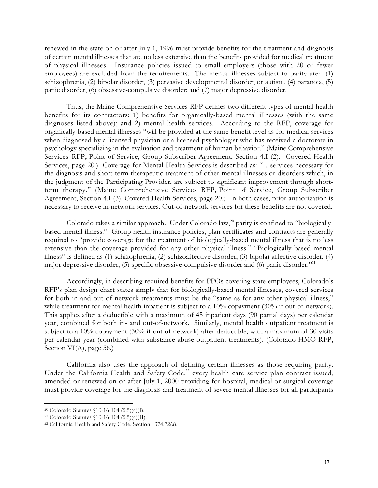renewed in the state on or after July 1, 1996 must provide benefits for the treatment and diagnosis of certain mental illnesses that are no less extensive than the benefits provided for medical treatment of physical illnesses. Insurance policies issued to small employers (those with 20 or fewer employees) are excluded from the requirements. The mental illnesses subject to parity are: (1) schizophrenia, (2) bipolar disorder, (3) pervasive developmental disorder, or autism, (4) paranoia, (5) panic disorder, (6) obsessive-compulsive disorder; and (7) major depressive disorder.

Thus, the Maine Comprehensive Services RFP defines two different types of mental health benefits for its contractors: 1) benefits for organically-based mental illnesses (with the same diagnoses listed above); and 2) mental health services. According to the RFP, coverage for organically-based mental illnesses "will be provided at the same benefit level as for medical services when diagnosed by a licensed physician or a licensed psychologist who has received a doctorate in psychology specializing in the evaluation and treatment of human behavior." (Maine Comprehensive Services RFP**,** Point of Service, Group Subscriber Agreement, Section 4.I (2). Covered Health Services, page 20.) Coverage for Mental Health Services is described as: "…services necessary for the diagnosis and short-term therapeutic treatment of other mental illnesses or disorders which, in the judgment of the Participating Provider, are subject to significant improvement through shortterm therapy." (Maine Comprehensive Services RFP**,** Point of Service, Group Subscriber Agreement, Section 4.I (3). Covered Health Services, page 20.) In both cases, prior authorization is necessary to receive in-network services. Out-of-network services for these benefits are not covered.

Colorado takes a similar approach. Under Colorado law, $^{20}$  parity is confined to "biologicallybased mental illness." Group health insurance policies, plan certificates and contracts are generally required to "provide coverage for the treatment of biologically-based mental illness that is no less extensive than the coverage provided for any other physical illness." "Biologically based mental illness" is defined as (1) schizophrenia, (2) schizoaffective disorder, (3) bipolar affective disorder, (4) major depressive disorder,  $(5)$  specific obsessive-compulsive disorder and  $(6)$  panic disorder."<sup>21</sup>

Accordingly, in describing required benefits for PPOs covering state employees, Colorado's RFP's plan design chart states simply that for biologically-based mental illnesses, covered services for both in and out of network treatments must be the "same as for any other physical illness," while treatment for mental health inpatient is subject to a 10% copayment (30% if out-of-network). This applies after a deductible with a maximum of 45 inpatient days (90 partial days) per calendar year, combined for both in- and out-of-network. Similarly, mental health outpatient treatment is subject to a 10% copayment (30% if out of network) after deductible, with a maximum of 30 visits per calendar year (combined with substance abuse outpatient treatments). (Colorado HMO RFP, Section VI(A), page 56.)

California also uses the approach of defining certain illnesses as those requiring parity. Under the California Health and Safety Code,<sup>22</sup> every health care service plan contract issued, amended or renewed on or after July 1, 2000 providing for hospital, medical or surgical coverage must provide coverage for the diagnosis and treatment of severe mental illnesses for all participants

<sup>20</sup> Colorado Statutes §10-16-104 (5.5)(a)(I).

<sup>21</sup> Colorado Statutes §10-16-104 (5.5)(a)(II).

<sup>22</sup> California Health and Safety Code, Section 1374.72(a).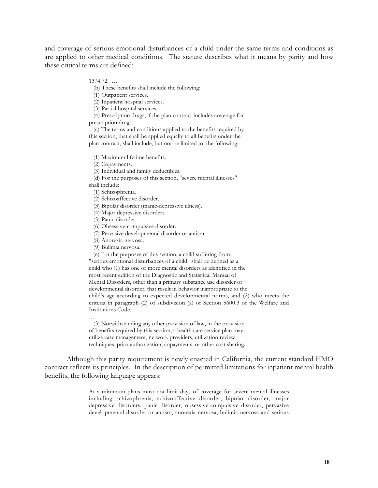and coverage of serious emotional disturbances of a child under the same terms and conditions as are applied to other medical conditions. The statute describes what it means by parity and how these critical terms are defined:

#### 1374.72. …

(b) These benefits shall include the following:

(1) Outpatient services.

(2) Inpatient hospital services.

(3) Partial hospital services.

 (4) Prescription drugs, if the plan contract includes coverage for prescription drugs.

 (c) The terms and conditions applied to the benefits required by this section, that shall be applied equally to all benefits under the plan contract, shall include, but not be limited to, the following:

(1) Maximum lifetime benefits.

(2) Copayments.

(3) Individual and family deductibles.

(d) For the purposes of this section, "severe mental illnesses"

shall include:

…

(1) Schizophrenia.

(2) Schizoaffective disorder.

(3) Bipolar disorder (manic-depressive illness).

(4) Major depressive disorders.

(5) Panic disorder.

(6) Obsessive-compulsive disorder.

(7) Pervasive developmental disorder or autism.

(8) Anorexia nervosa.

(9) Bulimia nervosa.

(e) For the purposes of this section, a child suffering from,

"serious emotional disturbances of a child" shall be defined as a child who (1) has one or more mental disorders as identified in the most recent edition of the Diagnostic and Statistical Manual of Mental Disorders, other than a primary substance use disorder or developmental disorder, that result in behavior inappropriate to the child's age according to expected developmental norms, and (2) who meets the criteria in paragraph (2) of subdivision (a) of Section 5600.3 of the Welfare and Institutions Code.

 (3) Notwithstanding any other provision of law, in the provision of benefits required by this section, a health care service plan may utilize case management, network providers, utilization review techniques, prior authorization, copayments, or other cost sharing.

Although this parity requirement is newly enacted in California, the current standard HMO contract reflects its principles. In the description of permitted limitations for inpatient mental health benefits, the following language appears:

> At a minimum plans must not limit days of coverage for severe mental illnesses including schizophrenia, schizoaffective disorder, bipolar disorder, major depressive disorders, panic disorder, obsessive-compulsive disorder, pervasive developmental disorder or autism, anorexia nervosa, bulimia nervosa and serious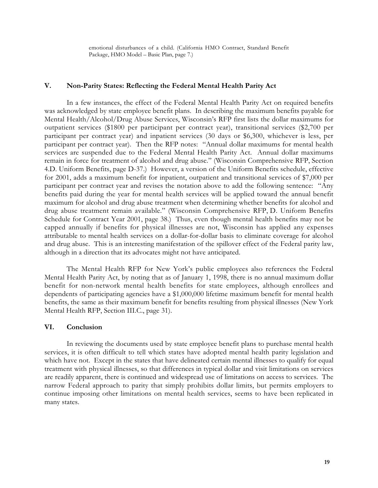emotional disturbances of a child. (California HMO Contract, Standard Benefit Package, HMO Model – Basic Plan, page 7.)

#### **V. Non-Parity States: Reflecting the Federal Mental Health Parity Act**

In a few instances, the effect of the Federal Mental Health Parity Act on required benefits was acknowledged by state employee benefit plans. In describing the maximum benefits payable for Mental Health/Alcohol/Drug Abuse Services, Wisconsin's RFP first lists the dollar maximums for outpatient services (\$1800 per participant per contract year), transitional services (\$2,700 per participant per contract year) and inpatient services (30 days or \$6,300, whichever is less, per participant per contract year). Then the RFP notes: "Annual dollar maximums for mental health services are suspended due to the Federal Mental Health Parity Act. Annual dollar maximums remain in force for treatment of alcohol and drug abuse." (Wisconsin Comprehensive RFP, Section 4.D. Uniform Benefits, page D-37.) However, a version of the Uniform Benefits schedule, effective for 2001, adds a maximum benefit for inpatient, outpatient and transitional services of \$7,000 per participant per contract year and revises the notation above to add the following sentence: "Any benefits paid during the year for mental health services will be applied toward the annual benefit maximum for alcohol and drug abuse treatment when determining whether benefits for alcohol and drug abuse treatment remain available." (Wisconsin Comprehensive RFP, D. Uniform Benefits Schedule for Contract Year 2001, page 38.) Thus, even though mental health benefits may not be capped annually if benefits for physical illnesses are not, Wisconsin has applied any expenses attributable to mental health services on a dollar-for-dollar basis to eliminate coverage for alcohol and drug abuse. This is an interesting manifestation of the spillover effect of the Federal parity law, although in a direction that its advocates might not have anticipated.

The Mental Health RFP for New York's public employees also references the Federal Mental Health Parity Act, by noting that as of January 1, 1998, there is no annual maximum dollar benefit for non-network mental health benefits for state employees, although enrollees and dependents of participating agencies have a \$1,000,000 lifetime maximum benefit for mental health benefits, the same as their maximum benefit for benefits resulting from physical illnesses (New York Mental Health RFP, Section III.C., page 31).

#### **VI. Conclusion**

In reviewing the documents used by state employee benefit plans to purchase mental health services, it is often difficult to tell which states have adopted mental health parity legislation and which have not. Except in the states that have delineated certain mental illnesses to qualify for equal treatment with physical illnesses, so that differences in typical dollar and visit limitations on services are readily apparent, there is continued and widespread use of limitations on access to services. The narrow Federal approach to parity that simply prohibits dollar limits, but permits employers to continue imposing other limitations on mental health services, seems to have been replicated in many states.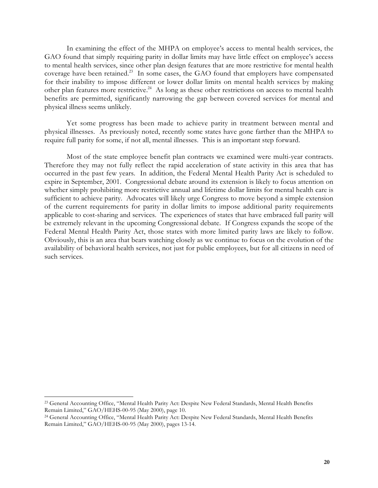In examining the effect of the MHPA on employee's access to mental health services, the GAO found that simply requiring parity in dollar limits may have little effect on employee's access to mental health services, since other plan design features that are more restrictive for mental health coverage have been retained.<sup>23</sup> In some cases, the GAO found that employers have compensated for their inability to impose different or lower dollar limits on mental health services by making other plan features more restrictive.<sup>24</sup> As long as these other restrictions on access to mental health benefits are permitted, significantly narrowing the gap between covered services for mental and physical illness seems unlikely.

Yet some progress has been made to achieve parity in treatment between mental and physical illnesses. As previously noted, recently some states have gone farther than the MHPA to require full parity for some, if not all, mental illnesses. This is an important step forward.

Most of the state employee benefit plan contracts we examined were multi-year contracts. Therefore they may not fully reflect the rapid acceleration of state activity in this area that has occurred in the past few years. In addition, the Federal Mental Health Parity Act is scheduled to expire in September, 2001. Congressional debate around its extension is likely to focus attention on whether simply prohibiting more restrictive annual and lifetime dollar limits for mental health care is sufficient to achieve parity. Advocates will likely urge Congress to move beyond a simple extension of the current requirements for parity in dollar limits to impose additional parity requirements applicable to cost-sharing and services. The experiences of states that have embraced full parity will be extremely relevant in the upcoming Congressional debate. If Congress expands the scope of the Federal Mental Health Parity Act, those states with more limited parity laws are likely to follow. Obviously, this is an area that bears watching closely as we continue to focus on the evolution of the availability of behavioral health services, not just for public employees, but for all citizens in need of such services.

l.

<sup>&</sup>lt;sup>23</sup> General Accounting Office, "Mental Health Parity Act: Despite New Federal Standards, Mental Health Benefits Remain Limited," GAO/HEHS-00-95 (May 2000), page 10.

<sup>&</sup>lt;sup>24</sup> General Accounting Office, "Mental Health Parity Act: Despite New Federal Standards, Mental Health Benefits Remain Limited," GAO/HEHS-00-95 (May 2000), pages 13-14.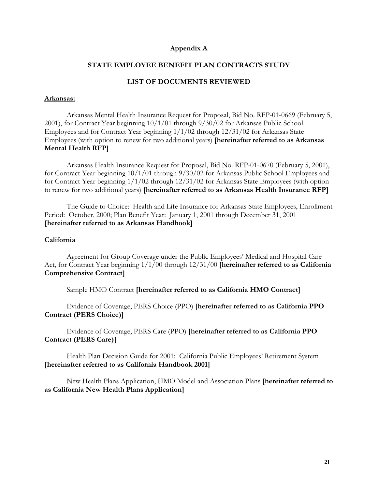## **Appendix A**

## **STATE EMPLOYEE BENEFIT PLAN CONTRACTS STUDY**

#### **LIST OF DOCUMENTS REVIEWED**

#### **Arkansas:**

Arkansas Mental Health Insurance Request for Proposal, Bid No. RFP-01-0669 (February 5, 2001), for Contract Year beginning 10/1/01 through 9/30/02 for Arkansas Public School Employees and for Contract Year beginning 1/1/02 through 12/31/02 for Arkansas State Employees (with option to renew for two additional years) **[hereinafter referred to as Arkansas Mental Health RFP]**

Arkansas Health Insurance Request for Proposal, Bid No. RFP-01-0670 (February 5, 2001), for Contract Year beginning 10/1/01 through 9/30/02 for Arkansas Public School Employees and for Contract Year beginning 1/1/02 through 12/31/02 for Arkansas State Employees (with option to renew for two additional years) **[hereinafter referred to as Arkansas Health Insurance RFP]**

The Guide to Choice: Health and Life Insurance for Arkansas State Employees, Enrollment Period: October, 2000; Plan Benefit Year: January 1, 2001 through December 31, 2001 **[hereinafter referred to as Arkansas Handbook]**

#### **California**

Agreement for Group Coverage under the Public Employees' Medical and Hospital Care Act, for Contract Year beginning 1/1/00 through 12/31/00 **[hereinafter referred to as California Comprehensive Contract]**

Sample HMO Contract **[hereinafter referred to as California HMO Contract]**

Evidence of Coverage, PERS Choice (PPO) **[hereinafter referred to as California PPO Contract (PERS Choice)]**

Evidence of Coverage, PERS Care (PPO) **[hereinafter referred to as California PPO Contract (PERS Care)]**

Health Plan Decision Guide for 2001: California Public Employees' Retirement System **[hereinafter referred to as California Handbook 2001]**

New Health Plans Application, HMO Model and Association Plans **[hereinafter referred to as California New Health Plans Application]**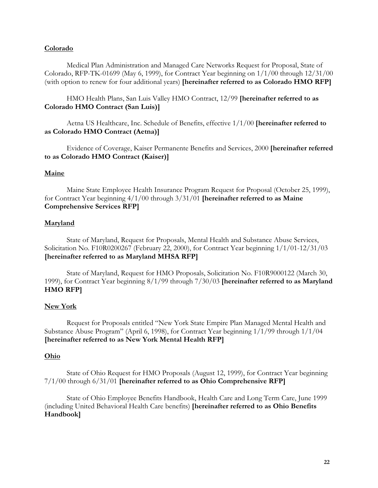## **Colorado**

Medical Plan Administration and Managed Care Networks Request for Proposal, State of Colorado, RFP-TK-01699 (May 6, 1999), for Contract Year beginning on 1/1/00 through 12/31/00 (with option to renew for four additional years) **[hereinafter referred to as Colorado HMO RFP]**

HMO Health Plans, San Luis Valley HMO Contract, 12/99 **[hereinafter referred to as Colorado HMO Contract (San Luis)]**

Aetna US Healthcare, Inc. Schedule of Benefits, effective 1/1/00 **[hereinafter referred to as Colorado HMO Contract (Aetna)]**

Evidence of Coverage, Kaiser Permanente Benefits and Services, 2000 **[hereinafter referred to as Colorado HMO Contract (Kaiser)]**

#### **Maine**

Maine State Employee Health Insurance Program Request for Proposal (October 25, 1999), for Contract Year beginning 4/1/00 through 3/31/01 **[hereinafter referred to as Maine Comprehensive Services RFP]**

#### **Maryland**

State of Maryland, Request for Proposals, Mental Health and Substance Abuse Services, Solicitation No. F10R0200267 (February 22, 2000), for Contract Year beginning 1/1/01-12/31/03 **[hereinafter referred to as Maryland MHSA RFP]**

State of Maryland, Request for HMO Proposals, Solicitation No. F10R9000122 (March 30, 1999), for Contract Year beginning 8/1/99 through 7/30/03 **[hereinafter referred to as Maryland HMO RFP]**

#### **New York**

Request for Proposals entitled "New York State Empire Plan Managed Mental Health and Substance Abuse Program" (April 6, 1998), for Contract Year beginning 1/1/99 through 1/1/04 **[hereinafter referred to as New York Mental Health RFP]**

## **Ohio**

State of Ohio Request for HMO Proposals (August 12, 1999), for Contract Year beginning 7/1/00 through 6/31/01 **[hereinafter referred to as Ohio Comprehensive RFP]**

State of Ohio Employee Benefits Handbook, Health Care and Long Term Care, June 1999 (including United Behavioral Health Care benefits) **[hereinafter referred to as Ohio Benefits Handbook]**